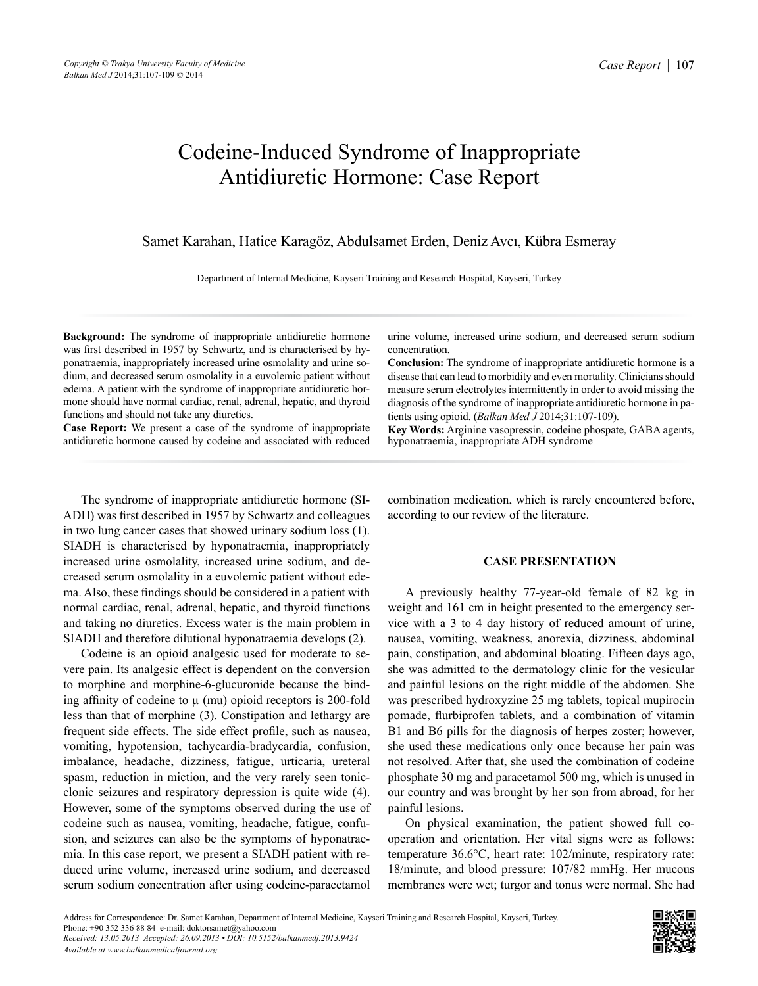## Codeine-Induced Syndrome of Inappropriate Antidiuretic Hormone: Case Report

Samet Karahan, Hatice Karagöz, Abdulsamet Erden, Deniz Avcı, Kübra Esmeray

Department of Internal Medicine, Kayseri Training and Research Hospital, Kayseri, Turkey

**Background:** The syndrome of inappropriate antidiuretic hormone was first described in 1957 by Schwartz, and is characterised by hyponatraemia, inappropriately increased urine osmolality and urine sodium, and decreased serum osmolality in a euvolemic patient without edema. A patient with the syndrome of inappropriate antidiuretic hormone should have normal cardiac, renal, adrenal, hepatic, and thyroid functions and should not take any diuretics.

**Case Report:** We present a case of the syndrome of inappropriate antidiuretic hormone caused by codeine and associated with reduced

urine volume, increased urine sodium, and decreased serum sodium concentration.

**Conclusion:** The syndrome of inappropriate antidiuretic hormone is a disease that can lead to morbidity and even mortality. Clinicians should measure serum electrolytes intermittently in order to avoid missing the diagnosis of the syndrome of inappropriate antidiuretic hormone in patients using opioid. (*Balkan Med J* 2014;31:107-109).

**Key Words:** Arginine vasopressin, codeine phospate, GABA agents, hyponatraemia, inappropriate ADH syndrome

The syndrome of inappropriate antidiuretic hormone (SI-ADH) was first described in 1957 by Schwartz and colleagues in two lung cancer cases that showed urinary sodium loss (1). SIADH is characterised by hyponatraemia, inappropriately increased urine osmolality, increased urine sodium, and decreased serum osmolality in a euvolemic patient without edema. Also, these findings should be considered in a patient with normal cardiac, renal, adrenal, hepatic, and thyroid functions and taking no diuretics. Excess water is the main problem in SIADH and therefore dilutional hyponatraemia develops (2).

Codeine is an opioid analgesic used for moderate to severe pain. Its analgesic effect is dependent on the conversion to morphine and morphine-6-glucuronide because the binding affinity of codeine to  $\mu$  (mu) opioid receptors is 200-fold less than that of morphine (3). Constipation and lethargy are frequent side effects. The side effect profile, such as nausea, vomiting, hypotension, tachycardia-bradycardia, confusion, imbalance, headache, dizziness, fatigue, urticaria, ureteral spasm, reduction in miction, and the very rarely seen tonicclonic seizures and respiratory depression is quite wide (4). However, some of the symptoms observed during the use of codeine such as nausea, vomiting, headache, fatigue, confusion, and seizures can also be the symptoms of hyponatraemia. In this case report, we present a SIADH patient with reduced urine volume, increased urine sodium, and decreased serum sodium concentration after using codeine-paracetamol combination medication, which is rarely encountered before, according to our review of the literature.

## **CASE PRESENTATION**

A previously healthy 77-year-old female of 82 kg in weight and 161 cm in height presented to the emergency service with a 3 to 4 day history of reduced amount of urine, nausea, vomiting, weakness, anorexia, dizziness, abdominal pain, constipation, and abdominal bloating. Fifteen days ago, she was admitted to the dermatology clinic for the vesicular and painful lesions on the right middle of the abdomen. She was prescribed hydroxyzine 25 mg tablets, topical mupirocin pomade, flurbiprofen tablets, and a combination of vitamin B1 and B6 pills for the diagnosis of herpes zoster; however, she used these medications only once because her pain was not resolved. After that, she used the combination of codeine phosphate 30 mg and paracetamol 500 mg, which is unused in our country and was brought by her son from abroad, for her painful lesions.

On physical examination, the patient showed full cooperation and orientation. Her vital signs were as follows: temperature 36.6°C, heart rate: 102/minute, respiratory rate: 18/minute, and blood pressure: 107/82 mmHg. Her mucous membranes were wet; turgor and tonus were normal. She had

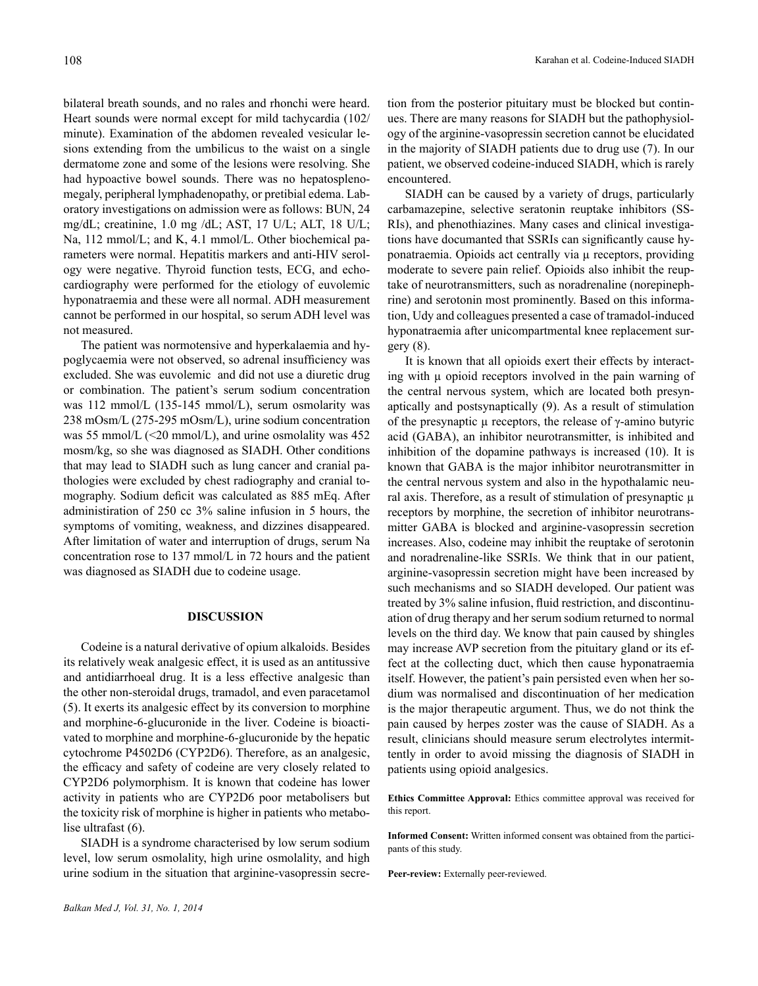bilateral breath sounds, and no rales and rhonchi were heard. Heart sounds were normal except for mild tachycardia (102/ minute). Examination of the abdomen revealed vesicular lesions extending from the umbilicus to the waist on a single dermatome zone and some of the lesions were resolving. She had hypoactive bowel sounds. There was no hepatosplenomegaly, peripheral lymphadenopathy, or pretibial edema. Laboratory investigations on admission were as follows: BUN, 24 mg/dL; creatinine, 1.0 mg /dL; AST, 17 U/L; ALT, 18 U/L; Na, 112 mmol/L; and K, 4.1 mmol/L. Other biochemical parameters were normal. Hepatitis markers and anti-HIV serology were negative. Thyroid function tests, ECG, and echocardiography were performed for the etiology of euvolemic hyponatraemia and these were all normal. ADH measurement cannot be performed in our hospital, so serum ADH level was not measured.

The patient was normotensive and hyperkalaemia and hypoglycaemia were not observed, so adrenal insufficiency was excluded. She was euvolemic and did not use a diuretic drug or combination. The patient's serum sodium concentration was 112 mmol/L (135-145 mmol/L), serum osmolarity was 238 mOsm/L (275-295 mOsm/L), urine sodium concentration was 55 mmol/L  $(\leq 20 \text{ mmol/L})$ , and urine osmolality was 452 mosm/kg, so she was diagnosed as SIADH. Other conditions that may lead to SIADH such as lung cancer and cranial pathologies were excluded by chest radiography and cranial tomography. Sodium deficit was calculated as 885 mEq. After administiration of 250 cc 3% saline infusion in 5 hours, the symptoms of vomiting, weakness, and dizzines disappeared. After limitation of water and interruption of drugs, serum Na concentration rose to 137 mmol/L in 72 hours and the patient was diagnosed as SIADH due to codeine usage.

## **DISCUSSION**

Codeine is a natural derivative of opium alkaloids. Besides its relatively weak analgesic effect, it is used as an antitussive and antidiarrhoeal drug. It is a less effective analgesic than the other non-steroidal drugs, tramadol, and even paracetamol (5). It exerts its analgesic effect by its conversion to morphine and morphine-6-glucuronide in the liver. Codeine is bioactivated to morphine and morphine-6-glucuronide by the hepatic cytochrome P4502D6 (CYP2D6). Therefore, as an analgesic, the efficacy and safety of codeine are very closely related to CYP2D6 polymorphism. It is known that codeine has lower activity in patients who are CYP2D6 poor metabolisers but the toxicity risk of morphine is higher in patients who metabolise ultrafast (6).

SIADH is a syndrome characterised by low serum sodium level, low serum osmolality, high urine osmolality, and high urine sodium in the situation that arginine-vasopressin secre-

tion from the posterior pituitary must be blocked but continues. There are many reasons for SIADH but the pathophysiology of the arginine-vasopressin secretion cannot be elucidated in the majority of SIADH patients due to drug use (7). In our patient, we observed codeine-induced SIADH, which is rarely encountered.

SIADH can be caused by a variety of drugs, particularly carbamazepine, selective seratonin reuptake inhibitors (SS-RIs), and phenothiazines. Many cases and clinical investigations have documanted that SSRIs can significantly cause hyponatraemia. Opioids act centrally via µ receptors, providing moderate to severe pain relief. Opioids also inhibit the reuptake of neurotransmitters, such as noradrenaline (norepinephrine) and serotonin most prominently. Based on this information, Udy and colleagues presented a case of tramadol-induced hyponatraemia after unicompartmental knee replacement surgery (8).

It is known that all opioids exert their effects by interacting with  $\mu$  opioid receptors involved in the pain warning of the central nervous system, which are located both presynaptically and postsynaptically (9). As a result of stimulation of the presynaptic  $\mu$  receptors, the release of  $\gamma$ -amino butyric acid (GABA), an inhibitor neurotransmitter, is inhibited and inhibition of the dopamine pathways is increased (10). It is known that GABA is the major inhibitor neurotransmitter in the central nervous system and also in the hypothalamic neural axis. Therefore, as a result of stimulation of presynaptic  $\mu$ receptors by morphine, the secretion of inhibitor neurotransmitter GABA is blocked and arginine-vasopressin secretion increases. Also, codeine may inhibit the reuptake of serotonin and noradrenaline-like SSRIs. We think that in our patient, arginine-vasopressin secretion might have been increased by such mechanisms and so SIADH developed. Our patient was treated by 3% saline infusion, fluid restriction, and discontinuation of drug therapy and her serum sodium returned to normal levels on the third day. We know that pain caused by shingles may increase AVP secretion from the pituitary gland or its effect at the collecting duct, which then cause hyponatraemia itself. However, the patient's pain persisted even when her sodium was normalised and discontinuation of her medication is the major therapeutic argument. Thus, we do not think the pain caused by herpes zoster was the cause of SIADH. As a result, clinicians should measure serum electrolytes intermittently in order to avoid missing the diagnosis of SIADH in patients using opioid analgesics.

**Ethics Committee Approval:** Ethics committee approval was received for this report.

**Informed Consent:** Written informed consent was obtained from the participants of this study.

**Peer-review:** Externally peer-reviewed.